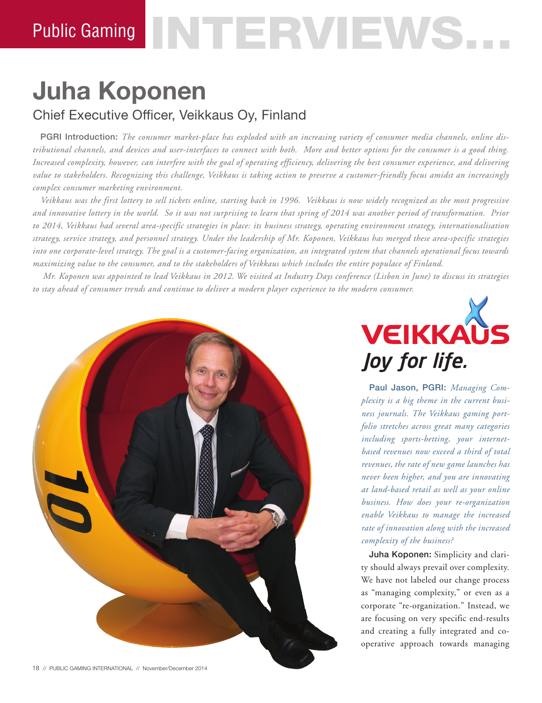# **Juha Koponen** Chief Executive Officer, Veikkaus Oy, Finland

PGRI Introduction: *The consumer market-place has exploded with an increasing variety of consumer media channels, online distributional channels, and devices and user-interfaces to connect with both. More and better options for the consumer is a good thing. Increased complexity, however, can interfere with the goal of operating efficiency, delivering the best consumer experience, and delivering value to stakeholders. Recognizing this challenge, Veikkaus is taking action to preserve a customer-friendly focus amidst an increasingly complex consumer marketing environment.*

*Veikkaus was the first lottery to sell tickets online, starting back in 1996. Veikkaus is now widely recognized as the most progressive and innovative lottery in the world. So it was not surprising to learn that spring of 2014 was another period of transformation. Prior to 2014, Veikkaus had several area-specific strategies in place: its business strategy, operating environment strategy, internationalisation strategy, service strategy, and personnel strategy. Under the leadership of Mr. Koponen, Veikkaus has merged these area-specific strategies into one corporate-level strategy. The goal is a customer-facing organization, an integrated system that channels operational focus towards maximizing value to the consumer, and to the stakeholders of Veikkaus which includes the entire populace of Finland.*

*Mr. Koponen was appointed to lead Veikkaus in 2012. We visited at Industry Days conference (Lisbon in June) to discuss its strategies to stay ahead of consumer trends and continue to deliver a modern player experience to the modern consumer.*



**VEIKKAUS** Joy for life.

Paul Jason, PGRI: *Managing Complexity is a big theme in the current business journals. The Veikkaus gaming portfolio stretches across great many categories including sports-betting, your internetbased revenues now exceed a third of total revenues, the rate of new game launches has never been higher, and you are innovating at land-based retail as well as your online business. How does your re-organization enable Veikkaus to manage the increased rate of innovation along with the increased complexity of the business?*

Juha Koponen: Simplicity and clarity should always prevail over complexity. We have not labeled our change process as "managing complexity," or even as a corporate "re-organization." Instead, we are focusing on very specific end-results and creating a fully integrated and cooperative approach towards managing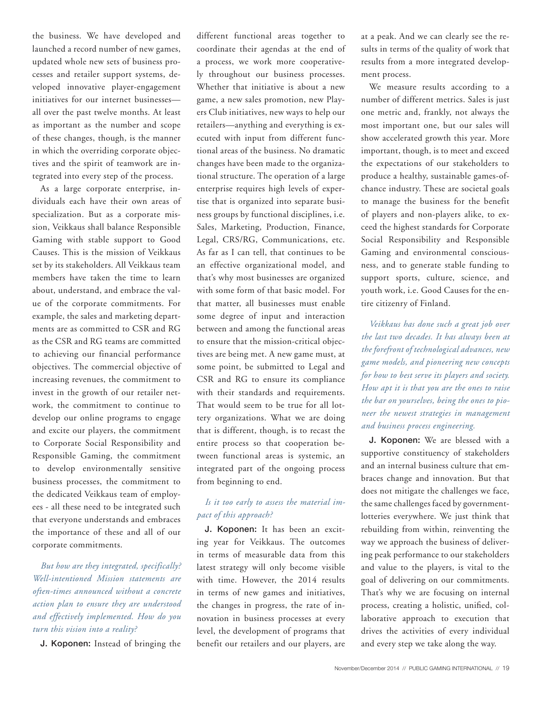the business. We have developed and launched a record number of new games, updated whole new sets of business processes and retailer support systems, developed innovative player-engagement initiatives for our internet businesses all over the past twelve months. At least as important as the number and scope of these changes, though, is the manner in which the overriding corporate objectives and the spirit of teamwork are integrated into every step of the process.

As a large corporate enterprise, individuals each have their own areas of specialization. But as a corporate mission, Veikkaus shall balance Responsible Gaming with stable support to Good Causes. This is the mission of Veikkaus set by its stakeholders. All Veikkaus team members have taken the time to learn about, understand, and embrace the value of the corporate commitments. For example, the sales and marketing departments are as committed to CSR and RG as the CSR and RG teams are committed to achieving our financial performance objectives. The commercial objective of increasing revenues, the commitment to invest in the growth of our retailer network, the commitment to continue to develop our online programs to engage and excite our players, the commitment to Corporate Social Responsibility and Responsible Gaming, the commitment to develop environmentally sensitive business processes, the commitment to the dedicated Veikkaus team of employees - all these need to be integrated such that everyone understands and embraces the importance of these and all of our corporate commitments.

*But how are they integrated, specifically? Well-intentioned Mission statements are often-times announced without a concrete action plan to ensure they are understood and effectively implemented. How do you turn this vision into a reality?*

J. Koponen: Instead of bringing the

different functional areas together to coordinate their agendas at the end of a process, we work more cooperatively throughout our business processes. Whether that initiative is about a new game, a new sales promotion, new Players Club initiatives, new ways to help our retailers—anything and everything is executed with input from different functional areas of the business. No dramatic changes have been made to the organizational structure. The operation of a large enterprise requires high levels of expertise that is organized into separate business groups by functional disciplines, i.e. Sales, Marketing, Production, Finance, Legal, CRS/RG, Communications, etc. As far as I can tell, that continues to be an effective organizational model, and that's why most businesses are organized with some form of that basic model. For that matter, all businesses must enable some degree of input and interaction between and among the functional areas to ensure that the mission-critical objectives are being met. A new game must, at some point, be submitted to Legal and CSR and RG to ensure its compliance with their standards and requirements. That would seem to be true for all lottery organizations. What we are doing that is different, though, is to recast the entire process so that cooperation between functional areas is systemic, an integrated part of the ongoing process from beginning to end.

#### *Is it too early to assess the material impact of this approach?*

J. Koponen: It has been an exciting year for Veikkaus. The outcomes in terms of measurable data from this latest strategy will only become visible with time. However, the 2014 results in terms of new games and initiatives, the changes in progress, the rate of innovation in business processes at every level, the development of programs that benefit our retailers and our players, are at a peak. And we can clearly see the results in terms of the quality of work that results from a more integrated development process.

We measure results according to a number of different metrics. Sales is just one metric and, frankly, not always the most important one, but our sales will show accelerated growth this year. More important, though, is to meet and exceed the expectations of our stakeholders to produce a healthy, sustainable games-ofchance industry. These are societal goals to manage the business for the benefit of players and non-players alike, to exceed the highest standards for Corporate Social Responsibility and Responsible Gaming and environmental consciousness, and to generate stable funding to support sports, culture, science, and youth work, i.e. Good Causes for the entire citizenry of Finland.

*Veikkaus has done such a great job over the last two decades. It has always been at the forefront of technological advances, new game models, and pioneering new concepts for how to best serve its players and society. How apt it is that you are the ones to raise the bar on yourselves, being the ones to pioneer the newest strategies in management and business process engineering.* 

J. Koponen: We are blessed with a supportive constituency of stakeholders and an internal business culture that embraces change and innovation. But that does not mitigate the challenges we face, the same challenges faced by governmentlotteries everywhere. We just think that rebuilding from within, reinventing the way we approach the business of delivering peak performance to our stakeholders and value to the players, is vital to the goal of delivering on our commitments. That's why we are focusing on internal process, creating a holistic, unified, collaborative approach to execution that drives the activities of every individual and every step we take along the way.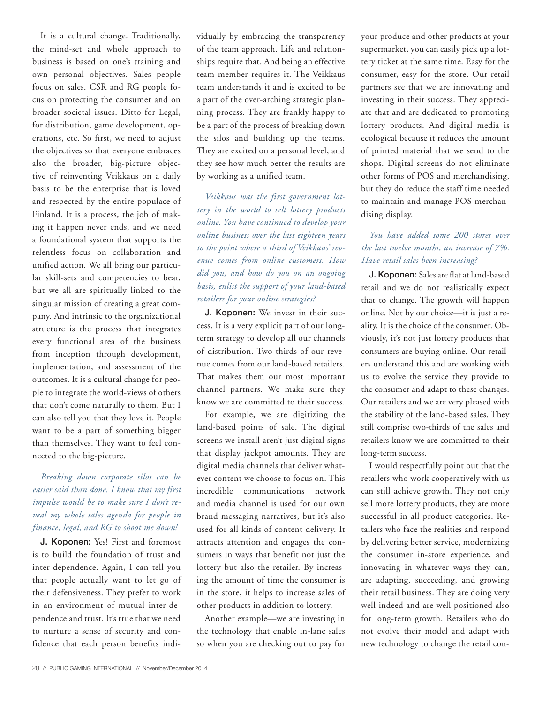It is a cultural change. Traditionally, the mind-set and whole approach to business is based on one's training and own personal objectives. Sales people focus on sales. CSR and RG people focus on protecting the consumer and on broader societal issues. Ditto for Legal, for distribution, game development, operations, etc. So first, we need to adjust the objectives so that everyone embraces also the broader, big-picture objective of reinventing Veikkaus on a daily basis to be the enterprise that is loved and respected by the entire populace of Finland. It is a process, the job of making it happen never ends, and we need a foundational system that supports the relentless focus on collaboration and unified action. We all bring our particular skill-sets and competencies to bear, but we all are spiritually linked to the singular mission of creating a great company. And intrinsic to the organizational structure is the process that integrates every functional area of the business from inception through development, implementation, and assessment of the outcomes. It is a cultural change for people to integrate the world-views of others that don't come naturally to them. But I can also tell you that they love it. People want to be a part of something bigger than themselves. They want to feel connected to the big-picture.

### *Breaking down corporate silos can be easier said than done. I know that my first impulse would be to make sure I don't reveal my whole sales agenda for people in finance, legal, and RG to shoot me down!*

J. Koponen: Yes! First and foremost is to build the foundation of trust and inter-dependence. Again, I can tell you that people actually want to let go of their defensiveness. They prefer to work in an environment of mutual inter-dependence and trust. It's true that we need to nurture a sense of security and confidence that each person benefits individually by embracing the transparency of the team approach. Life and relationships require that. And being an effective team member requires it. The Veikkaus team understands it and is excited to be a part of the over-arching strategic planning process. They are frankly happy to be a part of the process of breaking down the silos and building up the teams. They are excited on a personal level, and they see how much better the results are by working as a unified team.

*Veikkaus was the first government lottery in the world to sell lottery products online. You have continued to develop your online business over the last eighteen years to the point where a third of Veikkaus' revenue comes from online customers. How did you, and how do you on an ongoing basis, enlist the support of your land-based retailers for your online strategies?*

J. Koponen: We invest in their success. It is a very explicit part of our longterm strategy to develop all our channels of distribution. Two-thirds of our revenue comes from our land-based retailers. That makes them our most important channel partners. We make sure they know we are committed to their success.

For example, we are digitizing the land-based points of sale. The digital screens we install aren't just digital signs that display jackpot amounts. They are digital media channels that deliver whatever content we choose to focus on. This incredible communications network and media channel is used for our own brand messaging narratives, but it's also used for all kinds of content delivery. It attracts attention and engages the consumers in ways that benefit not just the lottery but also the retailer. By increasing the amount of time the consumer is in the store, it helps to increase sales of other products in addition to lottery.

Another example—we are investing in the technology that enable in-lane sales so when you are checking out to pay for your produce and other products at your supermarket, you can easily pick up a lottery ticket at the same time. Easy for the consumer, easy for the store. Our retail partners see that we are innovating and investing in their success. They appreciate that and are dedicated to promoting lottery products. And digital media is ecological because it reduces the amount of printed material that we send to the shops. Digital screens do not eliminate other forms of POS and merchandising, but they do reduce the staff time needed to maintain and manage POS merchandising display.

#### *You have added some 200 stores over the last twelve months, an increase of 7%. Have retail sales been increasing?*

J. Koponen: Sales are flat at land-based retail and we do not realistically expect that to change. The growth will happen online. Not by our choice—it is just a reality. It is the choice of the consumer. Obviously, it's not just lottery products that consumers are buying online. Our retailers understand this and are working with us to evolve the service they provide to the consumer and adapt to these changes. Our retailers and we are very pleased with the stability of the land-based sales. They still comprise two-thirds of the sales and retailers know we are committed to their long-term success.

I would respectfully point out that the retailers who work cooperatively with us can still achieve growth. They not only sell more lottery products, they are more successful in all product categories. Retailers who face the realities and respond by delivering better service, modernizing the consumer in-store experience, and innovating in whatever ways they can, are adapting, succeeding, and growing their retail business. They are doing very well indeed and are well positioned also for long-term growth. Retailers who do not evolve their model and adapt with new technology to change the retail con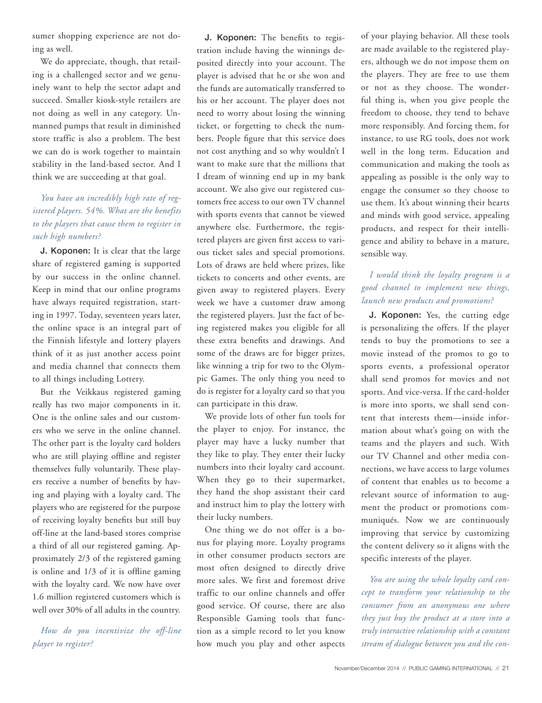sumer shopping experience are not doing as well.

We do appreciate, though, that retailing is a challenged sector and we genuinely want to help the sector adapt and succeed. Smaller kiosk-style retailers are not doing as well in any category. Unmanned pumps that result in diminished store traffic is also a problem. The best we can do is work together to maintain stability in the land-based sector. And I think we are succeeding at that goal.

#### *You have an incredibly high rate of registered players. 54%. What are the benefits to the players that cause them to register in such high numbers?*

J. Koponen: It is clear that the large share of registered gaming is supported by our success in the online channel. Keep in mind that our online programs have always required registration, starting in 1997. Today, seventeen years later, the online space is an integral part of the Finnish lifestyle and lottery players think of it as just another access point and media channel that connects them to all things including Lottery.

But the Veikkaus registered gaming really has two major components in it. One is the online sales and our customers who we serve in the online channel. The other part is the loyalty card holders who are still playing offline and register themselves fully voluntarily. These players receive a number of benefits by having and playing with a loyalty card. The players who are registered for the purpose of receiving loyalty benefits but still buy off-line at the land-based stores comprise a third of all our registered gaming. Approximately 2/3 of the registered gaming is online and 1/3 of it is offline gaming with the loyalty card. We now have over 1.6 million registered customers which is well over 30% of all adults in the country.

*How do you incentivize the off-line player to register?* 

J. Koponen: The benefits to registration include having the winnings deposited directly into your account. The player is advised that he or she won and the funds are automatically transferred to his or her account. The player does not need to worry about losing the winning ticket, or forgetting to check the numbers. People figure that this service does not cost anything and so why wouldn't I want to make sure that the millions that I dream of winning end up in my bank account. We also give our registered customers free access to our own TV channel with sports events that cannot be viewed anywhere else. Furthermore, the registered players are given first access to various ticket sales and special promotions. Lots of draws are held where prizes, like tickets to concerts and other events, are given away to registered players. Every week we have a customer draw among the registered players. Just the fact of being registered makes you eligible for all these extra benefits and drawings. And some of the draws are for bigger prizes, like winning a trip for two to the Olympic Games. The only thing you need to do is register for a loyalty card so that you can participate in this draw.

We provide lots of other fun tools for the player to enjoy. For instance, the player may have a lucky number that they like to play. They enter their lucky numbers into their loyalty card account. When they go to their supermarket, they hand the shop assistant their card and instruct him to play the lottery with their lucky numbers.

One thing we do not offer is a bonus for playing more. Loyalty programs in other consumer products sectors are most often designed to directly drive more sales. We first and foremost drive traffic to our online channels and offer good service. Of course, there are also Responsible Gaming tools that function as a simple record to let you know how much you play and other aspects

of your playing behavior. All these tools are made available to the registered players, although we do not impose them on the players. They are free to use them or not as they choose. The wonderful thing is, when you give people the freedom to choose, they tend to behave more responsibly. And forcing them, for instance, to use RG tools, does not work well in the long term. Education and communication and making the tools as appealing as possible is the only way to engage the consumer so they choose to use them. It's about winning their hearts and minds with good service, appealing products, and respect for their intelligence and ability to behave in a mature, sensible way.

#### *I would think the loyalty program is a good channel to implement new things, launch new products and promotions?*

J. Koponen: Yes, the cutting edge is personalizing the offers. If the player tends to buy the promotions to see a movie instead of the promos to go to sports events, a professional operator shall send promos for movies and not sports. And vice-versa. If the card-holder is more into sports, we shall send content that interests them—inside information about what's going on with the teams and the players and such. With our TV Channel and other media connections, we have access to large volumes of content that enables us to become a relevant source of information to augment the product or promotions communiqués. Now we are continuously improving that service by customizing the content delivery so it aligns with the specific interests of the player.

*You are using the whole loyalty card concept to transform your relationship to the consumer from an anonymous one where they just buy the product at a store into a truly interactive relationship with a constant stream of dialogue between you and the con-*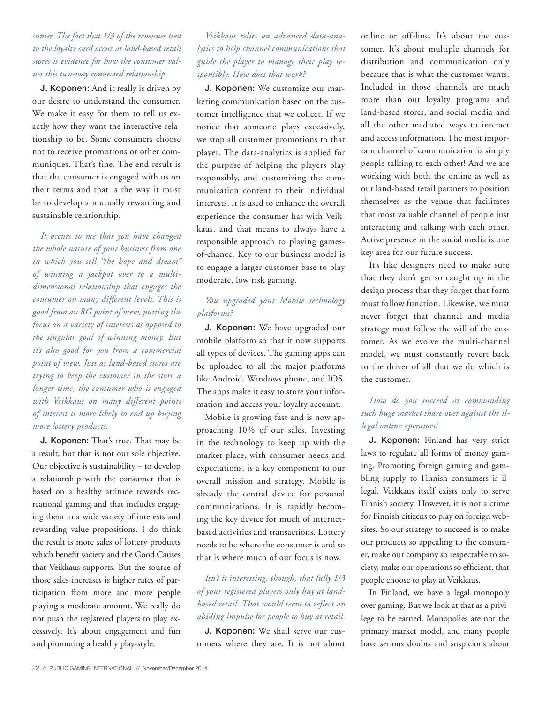#### *sumer. The fact that 1/3 of the revenues tied to the loyalty card occur at land-based retail stores is evidence for how the consumer values this two-way connected relationship.*

J. Koponen: And it really is driven by our desire to understand the consumer. We make it easy for them to tell us exactly how they want the interactive relationship to be. Some consumers choose not to receive promotions or other communiques. That's fine. The end result is that the consumer is engaged with us on their terms and that is the way it must be to develop a mutually rewarding and sustainable relationship.

*It occurs to me that you have changed the whole nature of your business from one in which you sell "the hope and dream" of winning a jackpot over to a multidimensional relationship that engages the consumer on many different levels. This is good from an RG point of view, putting the focus on a variety of interests as opposed to the singular goal of winning money. But it's also good for you from a commercial point of view. Just as land-based stores are trying to keep the customer in the store a longer time, the consumer who is engaged with Veikkaus on many different points of interest is more likely to end up buying more lottery products.* 

J. Koponen: That's true. That may be a result, but that is not our sole objective. Our objective is sustainability – to develop a relationship with the consumer that is based on a healthy attitude towards recreational gaming and that includes engaging them in a wide variety of interests and rewarding value propositions. I do think the result is more sales of lottery products which benefit society and the Good Causes that Veikkaus supports. But the source of those sales increases is higher rates of participation from more and more people playing a moderate amount. We really do not push the registered players to play excessively. It's about engagement and fun and promoting a healthy play-style.

### *Veikkaus relies on advanced data-analytics to help channel communications that guide the player to manage their play responsibly. How does that work?*

J. Koponen: We customize our marketing communication based on the customer intelligence that we collect. If we notice that someone plays excessively, we stop all customer promotions to that player. The data-analytics is applied for the purpose of helping the players play responsibly, and customizing the communication content to their individual interests. It is used to enhance the overall experience the consumer has with Veikkaus, and that means to always have a responsible approach to playing gamesof-chance. Key to our business model is to engage a larger customer base to play moderate, low risk gaming.

#### *You upgraded your Mobile technology platforms?*

J. Koponen: We have upgraded our mobile platform so that it now supports all types of devices. The gaming apps can be uploaded to all the major platforms like Android, Windows phone, and IOS. The apps make it easy to store your information and access your loyalty account.

Mobile is growing fast and is now approaching 10% of our sales. Investing in the technology to keep up with the market-place, with consumer needs and expectations, is a key component to our overall mission and strategy. Mobile is already the central device for personal communications. It is rapidly becoming the key device for much of internetbased activities and transactions. Lottery needs to be where the consumer is and so that is where much of our focus is now.

#### *Isn't it interesting, though, that fully 1/3 of your registered players only buy at landbased retail. That would seem to reflect an abiding impulse for people to buy at retail.*

J. Koponen: We shall serve our customers where they are. It is not about online or off-line. It's about the customer. It's about multiple channels for distribution and communication only because that is what the customer wants. Included in those channels are much more than our loyalty programs and land-based stores, and social media and all the other mediated ways to interact and access information. The most important channel of communication is simply people talking to each other! And we are working with both the online as well as our land-based retail partners to position themselves as the venue that facilitates that most valuable channel of people just interacting and talking with each other. Active presence in the social media is one key area for our future success.

It's like designers need to make sure that they don't get so caught up in the design process that they forget that form must follow function. Likewise, we must never forget that channel and media strategy must follow the will of the customer. As we evolve the multi-channel model, we must constantly revert back to the driver of all that we do which is the customer.

## *How do you succeed at commanding such huge market share over against the illegal online operators?*

J. Koponen: Finland has very strict laws to regulate all forms of money gaming. Promoting foreign gaming and gambling supply to Finnish consumers is illegal. Veikkaus itself exists only to serve Finnish society. However, it is not a crime for Finnish citizens to play on foreign websites. So our strategy to succeed is to make our products so appealing to the consumer, make our company so respectable to society, make our operations so efficient, that people choose to play at Veikkaus.

In Finland, we have a legal monopoly over gaming. But we look at that as a privilege to be earned. Monopolies are not the primary market model, and many people have serious doubts and suspicions about